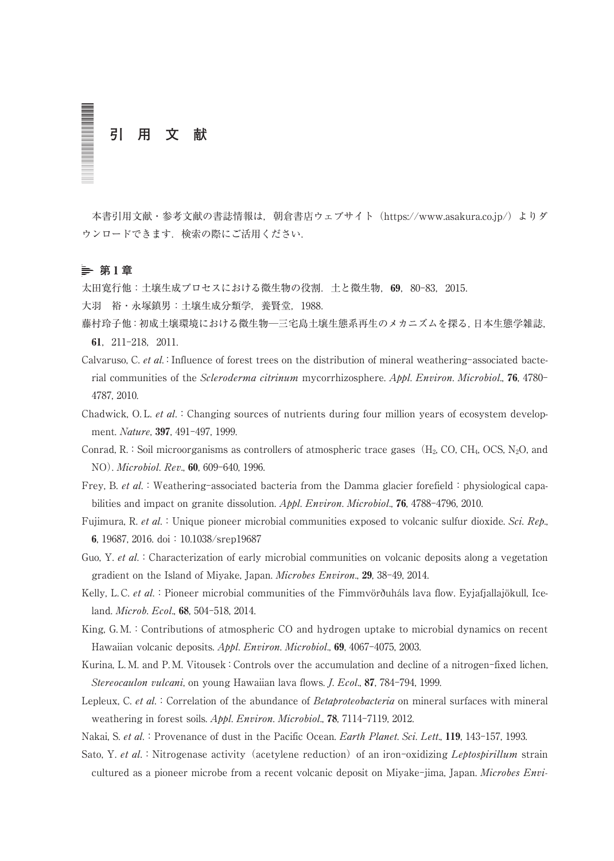# **引 用 文 献**

本書引用文献・参考文献の書誌情報は、朝倉書店ウェブサイト (https://www.asakura.co.jp/) よりダ ウンロードできます.検索の際にご活用ください.

# **第** 1 **章**

大田寛行他:土壌生成プロセスにおける微生物の役割. 土と微生物, 69, 80-83, 2015.

大羽 裕・永塚鎮男:土壌生成分類学,養賢堂,1988.

- 藤村玲子他:初成土壌環境における微生物─三宅島土壌生態系再生のメカニズムを探る,日本生態学雑誌, 61,211-218,2011.
- Calvaruso, C. et al.: Influence of forest trees on the distribution of mineral weathering-associated bacterial communities of the Scleroderma citrinum mycorrhizosphere. Appl. Environ. Microbiol., 76, 4780- 4787, 2010.
- Chadwick, O. L. et al.: Changing sources of nutrients during four million years of ecosystem development. Nature, 397, 491-497, 1999.
- Conrad, R.: Soil microorganisms as controllers of atmospheric trace gases ( $H_2$ , CO, CH<sub>4</sub>, OCS, N<sub>2</sub>O, and NO). Microbiol. Rev., 60, 609-640, 1996.
- Frey, B. et al.: Weathering-associated bacteria from the Damma glacier forefield: physiological capabilities and impact on granite dissolution. Appl. Environ. Microbiol., **76**, 4788-4796, 2010.
- Fujimura, R. et al.: Unique pioneer microbial communities exposed to volcanic sulfur dioxide. Sci. Rep., 6, 19687, 2016. doi:10.1038/srep19687
- Guo, Y. et al.: Characterization of early microbial communities on volcanic deposits along a vegetation gradient on the Island of Miyake, Japan. Microbes Environ., 29, 38-49, 2014.
- Kelly, L. C. et al.: Pioneer microbial communities of the Fimmvörðuháls lava flow. Eyjafjallajökull, Iceland. Microb. Ecol., 68, 504-518, 2014.
- King, G. M.:Contributions of atmospheric CO and hydrogen uptake to microbial dynamics on recent Hawaiian volcanic deposits. Appl. Environ. Microbiol., 69, 4067-4075, 2003.
- Kurina, L. M. and P. M. Vitousek:Controls over the accumulation and decline of a nitrogen-fixed lichen, Stereocaulon vulcani, on young Hawaiian lava flows. *J. Ecol.*, 87, 784-794, 1999.
- Lepleux, C. et al.: Correlation of the abundance of Betaproteobacteria on mineral surfaces with mineral weathering in forest soils. Appl. Environ. Microbiol., 78, 7114-7119, 2012.
- Nakai, S. et al.: Provenance of dust in the Pacific Ocean. Earth Planet. Sci. Lett., 119, 143-157, 1993.
- Sato, Y. et al.: Nitrogenase activity (acetylene reduction) of an iron-oxidizing Leptospirillum strain cultured as a pioneer microbe from a recent volcanic deposit on Miyake-jima, Japan. Microbes Envi-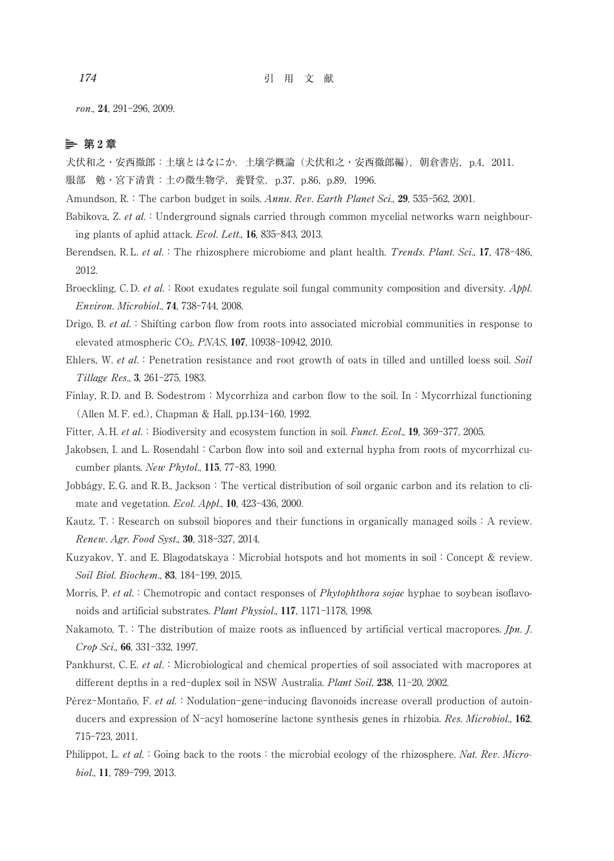ron., 24, 291-296, 2009.

## **第** 2 **章**

犬伏和之・安西徹郎:土壌とはなにか.土壌学概論(犬伏和之・安西徹郎編),朝倉書店,p.4,2011.

服部 勉・宮下清貴:土の微生物学,養賢堂, p.37, p.86, p.89, 1996.

Amundson, R.: The carbon budget in soils. Annu. Rev. Earth Planet Sci., 29, 535-562, 2001.

- Babikova, Z. et al.: Underground signals carried through common mycelial networks warn neighbouring plants of aphid attack. Ecol. Lett., 16, 835-843, 2013.
- Berendsen, R. L. et al.: The rhizosphere microbiome and plant health. Trends. Plant. Sci., 17, 478-486, 2012.
- Broeckling, C.D. et al.: Root exudates regulate soil fungal community composition and diversity.  $A\nphi L$ . Environ. Microbiol., 74, 738-744, 2008.
- Drigo, B. et al.: Shifting carbon flow from roots into associated microbial communities in response to elevated atmospheric CO2. PNAS, 107, 10938-10942, 2010.
- Ehlers, W. et al.: Penetration resistance and root growth of oats in tilled and untilled loess soil. Soil Tillage Res., 3, 261-275, 1983.
- Finlay, R. D. and B. Sodestrom: Mycorrhiza and carbon flow to the soil. In: Mycorrhizal functioning (Allen M. F. ed.), Chapman & Hall, pp.134-160, 1992.

Fitter, A. H. et al.: Biodiversity and ecosystem function in soil. *Funct. Ecol.*, 19, 369-377, 2005.

- Jakobsen, I. and L. Rosendahl:Carbon flow into soil and external hypha from roots of mycorrhizal cucumber plants. New Phytol., 115, 77-83, 1990.
- Jobbágy, E.G. and R.B., Jackson: The vertical distribution of soil organic carbon and its relation to climate and vegetation. Ecol. Appl., 10, 423-436, 2000.
- Kautz,  $T<sub>c</sub>$ : Research on subsoil biopores and their functions in organically managed soils: A review. Renew. Agr. Food Syst., 30, 318-327, 2014.
- Kuzyakov, Y. and E. Blagodatskaya: Microbial hotspots and hot moments in soil: Concept & review. Soil Biol. Biochem., 83, 184-199, 2015.
- Morris, P. et al.: Chemotropic and contact responses of *Phytophthora sojae* hyphae to soybean isoflavonoids and artificial substrates. Plant Physiol., 117, 1171-1178, 1998.
- Nakamoto, T.: The distribution of maize roots as influenced by artificial vertical macropores. *Jpn. J.* Crop Sci., 66, 331-332, 1997.
- Pankhurst, C. E. et al. : Microbiological and chemical properties of soil associated with macropores at different depths in a red-duplex soil in NSW Australia. Plant Soil, 238, 11-20, 2002.
- Pérez-Montaño, F. et al.: Nodulation-gene-inducing flavonoids increase overall production of autoinducers and expression of N-acyl homoserine lactone synthesis genes in rhizobia. Res. Microbiol., 162, 715-723, 2011.
- Philippot, L. et al.: Going back to the roots: the microbial ecology of the rhizosphere. Nat. Rev. Microbiol., 11, 789-799, 2013.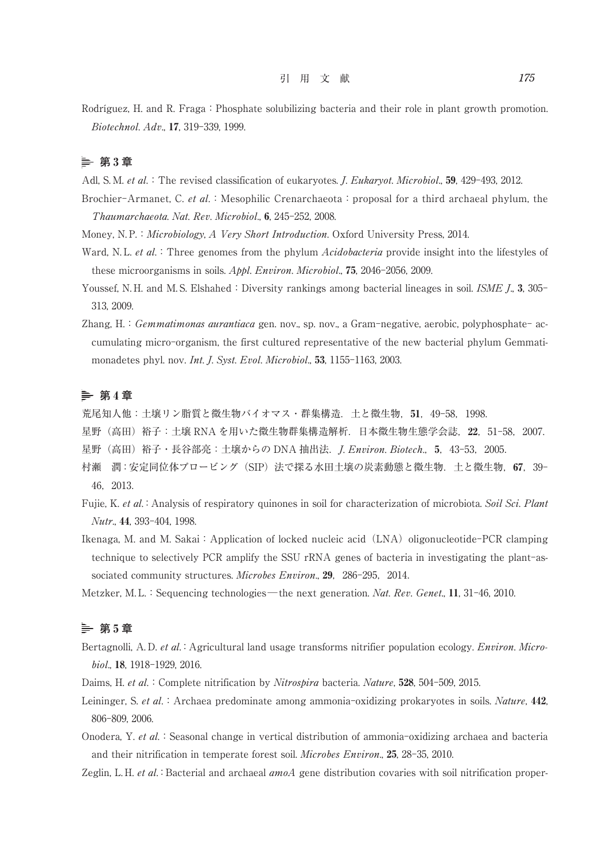Rodríguez, H. and R. Fraga: Phosphate solubilizing bacteria and their role in plant growth promotion. Biotechnol. Adv., 17, 319-339, 1999.

# **第** 3 **章**

Adl, S. M. et al.: The revised classification of eukaryotes. *J. Eukaryot. Microbiol.*, **59**, 429-493, 2012.

- Brochier-Armanet, C. et al.: Mesophilic Crenarchaeota: proposal for a third archaeal phylum, the Thaumarchaeota. Nat. Rev. Microbiol., 6, 245-252, 2008.
- Money, N.P.: *Microbiology, A Very Short Introduction*. Oxford University Press, 2014.
- Ward, N.L. et al.: Three genomes from the phylum Acidobacteria provide insight into the lifestyles of these microorganisms in soils. Appl. Environ. Microbiol., 75, 2046-2056, 2009.
- Youssef, N. H. and M. S. Elshahed: Diversity rankings among bacterial lineages in soil. ISME J., 3, 305-313, 2009.
- Zhang, H.: Gemmatimonas aurantiaca gen. nov., sp. nov., a Gram-negative, aerobic, polyphosphate- accumulating micro-organism, the first cultured representative of the new bacterial phylum Gemmatimonadetes phyl. nov. Int. J. Syst. Evol. Microbiol., 53, 1155-1163, 2003.

### **第** 4 **章**

荒尾知人他:土壌リン脂質と微生物バイオマス・群集構造.土と微生物,51,49-58,1998.

- 星野(高田)裕子:土壌 RNA を用いた微生物群集構造解析.日本微生物生態学会誌,22,51-58,2007.
- 星野 (高田) 裕子・長谷部亮: 十壌からの DNA 抽出法. *I. Environ. Biotech.*, 5, 43-53, 2005.
- 村瀬 潤:安定同位体プロービング(SIP)法で探る水田土壌の炭素動態と微生物.土と微生物,67,39- 46,2013.
- Fujie, K. et al.:Analysis of respiratory quinones in soil for characterization of microbiota. Soil Sci. Plant Nutr., 44, 393-404, 1998.
- Ikenaga, M. and M. Sakai: Application of locked nucleic acid (LNA) oligonucleotide-PCR clamping technique to selectively PCR amplify the SSU rRNA genes of bacteria in investigating the plant-associated community structures. Microbes Environ., 29, 286-295, 2014.
- Metzker, M. L.: Sequencing technologies—the next generation. Nat. Rev. Genet., 11, 31-46, 2010.

# **第** 5 **章**

- Bertagnolli, A. D. et al.: Agricultural land usage transforms nitrifier population ecology. *Environ. Micro*biol., 18, 1918-1929, 2016.
- Daims, H. et al.: Complete nitrification by *Nitrospira* bacteria. Nature, 528, 504-509, 2015.
- Leininger, S. et al.: Archaea predominate among ammonia-oxidizing prokaryotes in soils. Nature, 442, 806-809, 2006.
- Onodera, Y. et al.: Seasonal change in vertical distribution of ammonia-oxidizing archaea and bacteria and their nitrification in temperate forest soil. Microbes Environ., 25, 28-35, 2010.
- Zeglin, L. H. et al.: Bacterial and archaeal amoA gene distribution covaries with soil nitrification proper-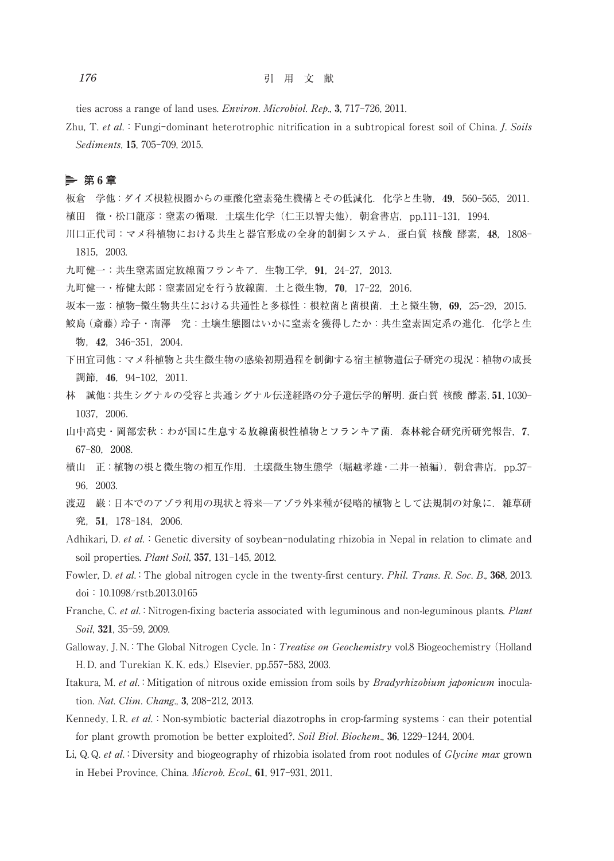ties across a range of land uses. Environ. Microbiol. Rep., 3, 717-726, 2011.

Zhu, T. et al.: Fungi-dominant heterotrophic nitrification in a subtropical forest soil of China. J. Soils Sediments, 15, 705-709, 2015.

## **第** 6 **章**

板倉 学他:ダイズ根粒根圏からの亜酸化窒素発生機構とその低減化.化学と生物,49,560-565,2011. 植田 徹・松口龍彦:窒素の循環.土壌生化学(仁王以智夫他),朝倉書店,pp.111-131,1994.

- 川口正代司:マメ科植物における共生と器官形成の全身的制御システム.蛋白質 核酸 酵素,48,1808- 1815,2003.
- 九町健一: 共生窒素固定放線菌フランキア. 生物工学, 91, 24-27, 2013.

九町健一・栫健太郎:窒素固定を行う放線菌. 土と微生物, 70, 17-22, 2016.

坂本一憲:植物─微生物共生における共通性と多様性:根粒菌と菌根菌.土と微生物,69,25-29,2015.

- 鮫島(斎藤)玲子・南澤 究:土壌生態圏はいかに窒素を獲得したか:共生窒素固定系の進化. 化学と生 物,42,346-351,2004.
- 下田宜司他:マメ科植物と共生微生物の感染初期過程を制御する宿主植物遺伝子研究の現況:植物の成長 調節,46,94-102,2011.
- 林 誠他:共生シグナルの受容と共通シグナル伝達経路の分子遺伝学的解明.蛋白質 核酸 酵素,51,1030- 1037,2006.
- 山中高史・岡部宏秋:わが国に生息する放線菌根性植物とフランキア菌.森林総合研究所研究報告,7, 67-80,2008.
- 横山 正:植物の根と微生物の相互作用.土壌微生物生態学(堀越孝雄・二井一禎編),朝倉書店,pp.37- 96,2003.
- 渡辺 巌:日本でのアゾラ利用の現状と将来--アゾラ外来種が侵略的植物として法規制の対象に. 雑草研 究,51,178-184,2006.
- Adhikari, D. et al.: Genetic diversity of soybean-nodulating rhizobia in Nepal in relation to climate and soil properties. Plant Soil, 357, 131-145, 2012.
- Fowler, D. et al.: The global nitrogen cycle in the twenty-first century. Phil. Trans. R. Soc. B., 368, 2013. doi:10.1098/rstb.2013.0165
- Franche, C. et al.: Nitrogen-fixing bacteria associated with leguminous and non-leguminous plants. Plant Soil, 321, 35-59, 2009.
- Galloway, J. N.: The Global Nitrogen Cycle. In: *Treatise on Geochemistry* vol.8 Biogeochemistry (Holland H. D. and Turekian K. K. eds.) Elsevier, pp.557-583, 2003.
- Itakura, M. et al.: Mitigation of nitrous oxide emission from soils by *Bradyrhizobium japonicum* inoculation. Nat. Clim. Chang., 3, 208-212, 2013.
- Kennedy, I. R. et al.: Non-symbiotic bacterial diazotrophs in crop-farming systems: can their potential for plant growth promotion be better exploited?. Soil Biol. Biochem., 36, 1229-1244, 2004.
- Li, Q. Q. et al.: Diversity and biogeography of rhizobia isolated from root nodules of *Glycine max* grown in Hebei Province, China. Microb. Ecol., 61, 917-931, 2011.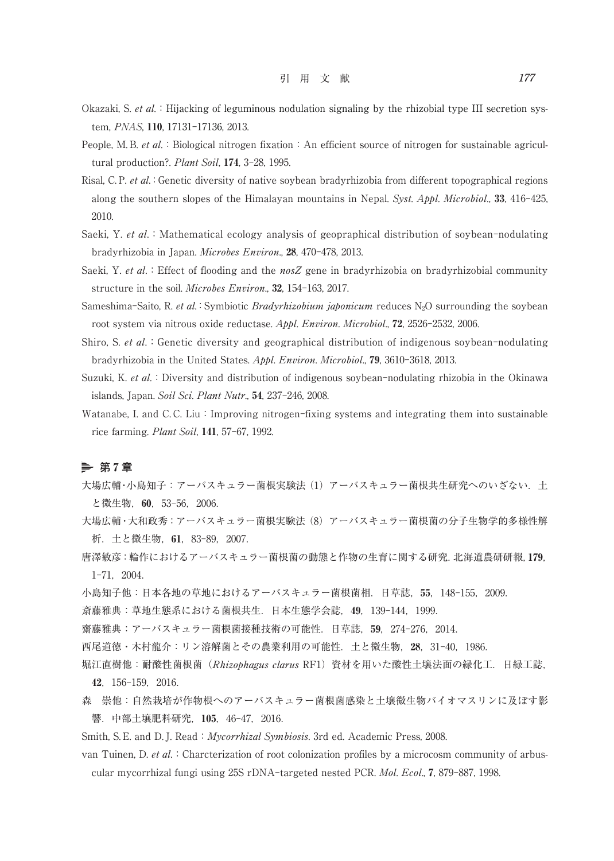- Okazaki, S. et al.: Hijacking of leguminous nodulation signaling by the rhizobial type III secretion system, PNAS, 110, 17131-17136, 2013.
- People, M. B. *et al.*: Biological nitrogen fixation: An efficient source of nitrogen for sustainable agricultural production?. Plant Soil, 174, 3-28, 1995.
- Risal, C. P. et al.: Genetic diversity of native soybean bradyrhizobia from different topographical regions along the southern slopes of the Himalayan mountains in Nepal. Syst. Appl. Microbiol., 33, 416-425, 2010.
- Saeki, Y. et al.: Mathematical ecology analysis of geopraphical distribution of soybean-nodulating bradyrhizobia in Japan. Microbes Environ., 28, 470-478, 2013.
- Saeki, Y. et al.: Effect of flooding and the nosZ gene in bradyrhizobia on bradyrhizobial community structure in the soil. Microbes Environ., 32, 154-163, 2017.
- Sameshima-Saito, R. et al.: Symbiotic *Bradyrhizobium japonicum* reduces  $N_2O$  surrounding the soybean root system via nitrous oxide reductase. Appl. Environ. Microbiol., 72, 2526-2532, 2006.
- Shiro, S. et al.: Genetic diversity and geographical distribution of indigenous soybean-nodulating bradyrhizobia in the United States. Appl. Environ. Microbiol., 79, 3610-3618, 2013.
- Suzuki, K. et al.: Diversity and distribution of indigenous soybean-nodulating rhizobia in the Okinawa islands, Japan. Soil Sci. Plant Nutr., 54, 237-246, 2008.
- Watanabe, I. and C.C. Liu: Improving nitrogen-fixing systems and integrating them into sustainable rice farming. Plant Soil, 141, 57-67, 1992.

### **第** 7 **章**

- 大場広輔·小島知子:アーバスキュラー菌根実験法 (1) アーバスキュラー菌根共生研究へのいざない. 土 と微生物,60,53-56,2006.
- 大場広輔・大和政秀:アーバスキュラー菌根実験法 (8)アーバスキュラー菌根菌の分子生物学的多様性解 析.土と微生物,61,83-89,2007.
- 唐澤敏彦:輪作におけるアーバスキュラー菌根菌の動態と作物の生育に関する研究.北海道農研研報,179, 1-71,2004.
- 小島知子他:日本各地の草地におけるアーバスキュラー菌根菌相.日草誌,55,148-155,2009.
- 斎藤雅典:草地生態系における菌根共生.日本生態学会誌,49,139-144,1999.
- 齋藤雅典:アーバスキュラー菌根菌接種技術の可能性.日草誌,59,274-276,2014.
- 西尾道徳・木村龍介:リン溶解菌とその農業利用の可能性.土と微生物,28,31-40,1986.
- 堀江直樹他:耐酸性菌根菌 (Rhizophagus clarus RF1) 資材を用いた酸性土壌法面の緑化工. 日緑工誌, 42,156-159,2016.
- 森 崇他:自然栽培が作物根へのアーバスキュラー菌根菌感染と土壌微生物バイオマスリンに及ぼす影 響.中部土壌肥料研究,105,46-47,2016.
- Smith, S. E. and D. J. Read: *Mycorrhizal Symbiosis*. 3rd ed. Academic Press, 2008.
- van Tuinen, D. et al.:Charcterization of root colonization profiles by a microcosm community of arbuscular mycorrhizal fungi using 25S rDNA-targeted nested PCR. Mol. Ecol., 7, 879-887, 1998.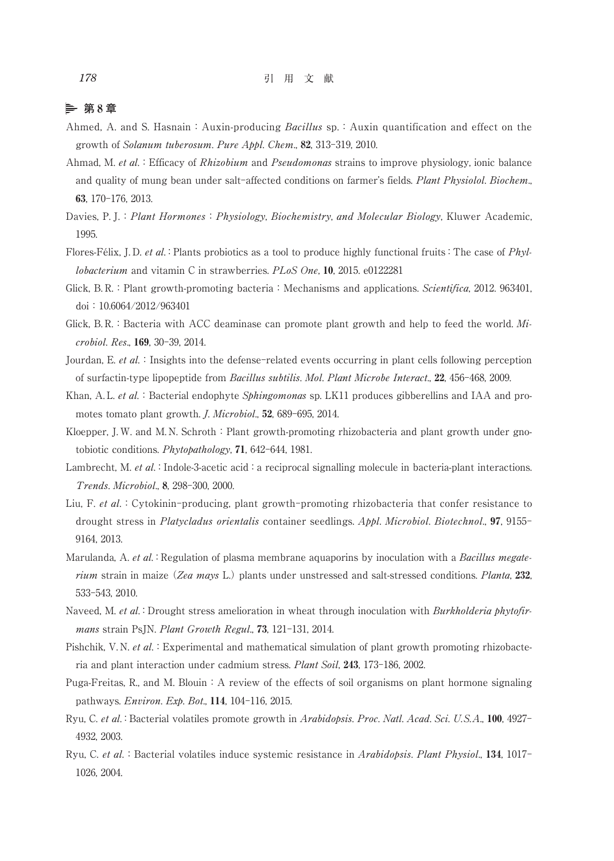# **第** 8 **章**

- Ahmed, A. and S. Hasnain: Auxin-producing Bacillus sp.: Auxin quantification and effect on the growth of Solanum tuberosum. Pure Appl. Chem., 82, 313-319, 2010.
- Ahmad, M. et al.: Efficacy of Rhizobium and Pseudomonas strains to improve physiology, ionic balance and quality of mung bean under salt-affected conditions on farmer's fields. Plant Physiolol. Biochem., 63, 170-176, 2013.
- Davies, P. J.: Plant Hormones: Physiology, Biochemistry, and Molecular Biology, Kluwer Academic, 1995.
- Flores-Félix, J. D. et al.: Plants probiotics as a tool to produce highly functional fruits: The case of Phyllobacterium and vitamin C in strawberries. PLoS One, 10, 2015. e0122281
- Glick, B. R.: Plant growth-promoting bacteria: Mechanisms and applications. Scientifica, 2012. 963401, doi:10.6064/2012/963401
- Glick, B.R.: Bacteria with ACC deaminase can promote plant growth and help to feed the world.  $Mi$ crobiol. Res., 169, 30-39, 2014.
- Jourdan, E. et al.: Insights into the defense-related events occurring in plant cells following perception of surfactin-type lipopeptide from Bacillus subtilis. Mol. Plant Microbe Interact., 22, 456-468, 2009.
- Khan, A. L. et al.: Bacterial endophyte Sphingomonas sp. LK11 produces gibberellins and IAA and promotes tomato plant growth. J. Microbiol., 52, 689-695, 2014.
- Kloepper, J. W. and M. N. Schroth: Plant growth-promoting rhizobacteria and plant growth under gnotobiotic conditions. Phytopathology, 71, 642-644, 1981.
- Lambrecht, M. et al.: Indole-3-acetic acid: a reciprocal signalling molecule in bacteria-plant interactions. Trends. Microbiol., 8, 298-300, 2000.
- Liu, F. et al.: Cytokinin-producing, plant growth-promoting rhizobacteria that confer resistance to drought stress in Platycladus orientalis container seedlings. Appl. Microbiol. Biotechnol., 97, 9155- 9164, 2013.
- Marulanda, A. et al.: Regulation of plasma membrane aquaporins by inoculation with a Bacillus megaterium strain in maize (Zea mays L.) plants under unstressed and salt-stressed conditions. Planta, 232, 533-543, 2010.
- Naveed, M. et al.: Drought stress amelioration in wheat through inoculation with Burkholderia phytofirmans strain PsJN. Plant Growth Regul., 73, 121-131, 2014.
- Pishchik, V. N. et al.: Experimental and mathematical simulation of plant growth promoting rhizobacteria and plant interaction under cadmium stress. Plant Soil, 243, 173-186, 2002.
- Puga-Freitas, R., and M. Blouin: A review of the effects of soil organisms on plant hormone signaling pathways. Environ. Exp. Bot., 114, 104-116, 2015.
- Ryu, C. et al.:Bacterial volatiles promote growth in Arabidopsis. Proc. Natl. Acad. Sci. U.S.A., 100, 4927- 4932, 2003.
- Ryu, C. et al.: Bacterial volatiles induce systemic resistance in Arabidopsis. Plant Physiol., 134, 1017-1026, 2004.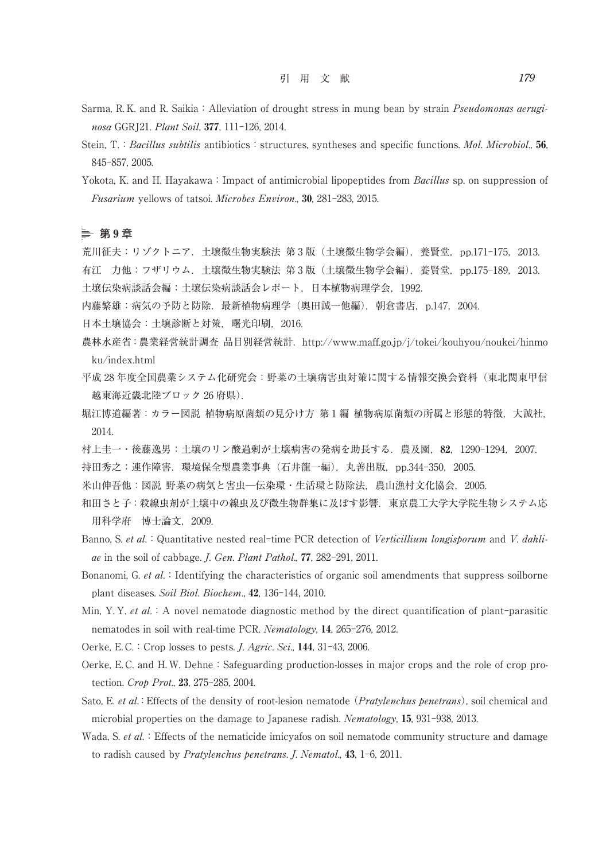- Sarma, R. K. and R. Saikia: Alleviation of drought stress in mung bean by strain *Pseudomonas aerugi*nosa GGRJ21. Plant Soil, 377, 111-126, 2014.
- Stein, T.: Bacillus subtilis antibiotics: structures, syntheses and specific functions. Mol. Microbiol., 56, 845-857, 2005.
- Yokota, K. and H. Hayakawa: Impact of antimicrobial lipopeptides from *Bacillus* sp. on suppression of Fusarium yellows of tatsoi. Microbes Environ., 30, 281-283, 2015.

### **第** 9 **章**

荒川征夫:リゾクトニア.土壌微生物実験法 第 3 版(土壌微生物学会編),養賢堂,pp.171-175,2013. 有江 力他: フザリウム. 土壌微生物実験法 第 3 版 (土壌微生物学会編),養賢堂, pp.175-189, 2013. 土壌伝染病談話会編:土壌伝染病談話会レポート,日本植物病理学会,1992.

- 内藤繁雄:病気の予防と防除. 最新植物病理学 (奥田誠一他編), 朝倉書店, p.147, 2004.
- 日本土壌協会:土壌診断と対策,曙光印刷,2016.
- 農林水産省:農業経営統計調査 品目別経営統計.http://www.maff.go.jp/j/tokei/kouhyou/noukei/hinmo ku/index.html
- 平成 28年度全国農業システム化研究会:野菜の土壌病害虫対策に関する情報交換会資料(東北関東甲信 越東海近畿北陸ブロック 26 府県).
- 堀江博道編著:カラー図説 植物病原菌類の見分け方 第 1 編 植物病原菌類の所属と形態的特徴,大誠社, 2014.
- 村上圭一・後藤逸男:土壌のリン酸過剰が土壌病害の発病を助長する.農及園,82,1290-1294,2007.
- 持田秀之:連作障害.環境保全型農業事典(石井龍一編),丸善出版,pp.344-350,2005.
- 米山伸吾他:図説 野菜の病気と害虫─伝染環・生活環と防除法,農山漁村文化協会,2005.
- 和田さと子:殺線虫剤が土壌中の線虫及び微生物群集に及ぼす影響.東京農工大学大学院生物システム応 用科学府 博士論文,2009.
- Banno, S. et al.: Quantitative nested real-time PCR detection of Verticillium longisporum and V. dahliae in the soil of cabbage. J. Gen. Plant Pathol., 77, 282-291, 2011.
- Bonanomi, G. et al.: Identifying the characteristics of organic soil amendments that suppress soilborne plant diseases. Soil Biol. Biochem., 42, 136-144, 2010.
- Min, Y. Y. et al. : A novel nematode diagnostic method by the direct quantification of plant-parasitic nematodes in soil with real-time PCR. Nematology, 14, 265-276, 2012.
- Oerke, E.C.: Crop losses to pests. *J. Agric. Sci.*, 144, 31-43, 2006.
- Oerke, E.C. and H.W. Dehne: Safeguarding production-losses in major crops and the role of crop protection. Crop Prot., 23, 275-285, 2004.
- Sato, E. et al.: Effects of the density of root-lesion nematode (Pratylenchus penetrans), soil chemical and microbial properties on the damage to Japanese radish. Nematology, 15, 931-938, 2013.
- Wada, S. et al.: Effects of the nematicide imicyafos on soil nematode community structure and damage to radish caused by *Pratylenchus penetrans. J. Nematol.*, 43, 1-6, 2011.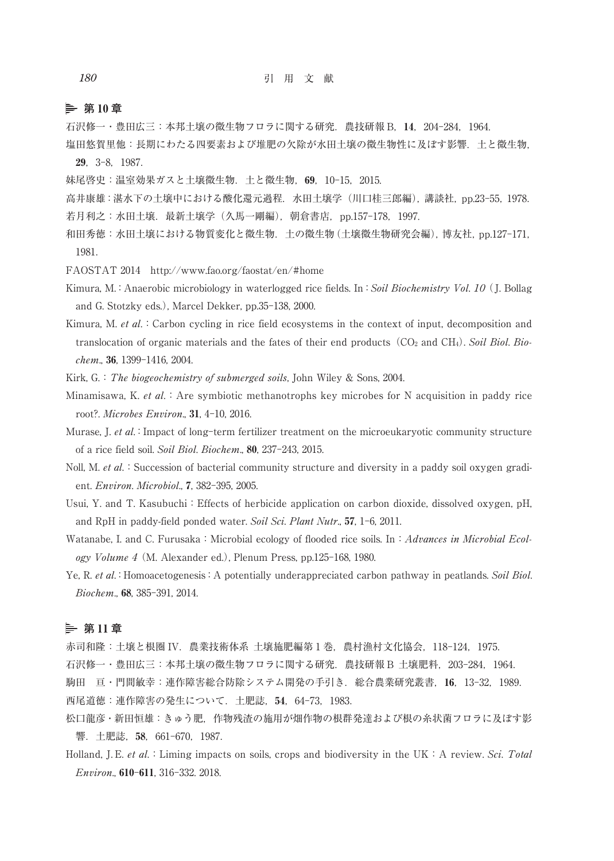### **第** 10 **章**

- 石沢修一・豊田広三:本邦土壌の微生物フロラに関する研究.農技研報 B,14,204-284,1964.
- 塩田悠賀里他:長期にわたる四要素および堆肥の欠除が水田土壌の微生物性に及ぼす影響.土と微生物,

29,3-8,1987.

- 妹尾啓史:温室効果ガスと土壌微生物.土と微生物,69,10-15,2015.
- 高井康雄:湛水下の土壌中における酸化還元過程.水田土壌学(川口桂三郎編),講談社,pp.23-55,1978. 若月利之:水田土壌. 最新土壌学(久馬一剛編), 朝倉書店, pp.157-178, 1997.
- 和田秀徳:水田土壌における物質変化と微生物.土の微生物(土壌微生物研究会編),博友社,pp.127-171, 1981.
- FAOSTAT 2014 http://www.fao.org/faostat/en/#home
- Kimura, M.: Anaerobic microbiology in waterlogged rice fields. In: Soil Biochemistry Vol. 10 (J. Bollag and G. Stotzky eds.), Marcel Dekker, pp.35-138, 2000.
- Kimura, M. et al.: Carbon cycling in rice field ecosystems in the context of input, decomposition and translocation of organic materials and the fates of their end products ( $CO<sub>2</sub>$  and  $CH<sub>4</sub>$ ). Soil Biol. Biochem., 36, 1399-1416, 2004.

Kirk, G.: The biogeochemistry of submerged soils, John Wiley & Sons, 2004.

Minamisawa, K. et al.: Are symbiotic methanotrophs key microbes for N acquisition in paddy rice root?. Microbes Environ., 31, 4-10, 2016.

- Murase, J. et al.: Impact of long-term fertilizer treatment on the microeukaryotic community structure of a rice field soil. Soil Biol. Biochem., 80, 237-243, 2015.
- Noll, M. et al.: Succession of bacterial community structure and diversity in a paddy soil oxygen gradient. Environ. Microbiol., 7, 382-395, 2005.
- Usui, Y. and T. Kasubuchi: Effects of herbicide application on carbon dioxide, dissolved oxygen, pH, and RpH in paddy-field ponded water. Soil Sci. Plant Nutr., 57, 1-6, 2011.
- Watanabe, I. and C. Furusaka: Microbial ecology of flooded rice soils. In: Advances in Microbial Ecology Volume 4 (M. Alexander ed.), Plenum Press, pp.125-168, 1980.
- Ye, R. et al.: Homoacetogenesis: A potentially underappreciated carbon pathway in peatlands. Soil Biol. Biochem., 68, 385-391, 2014.

### **第** 11 **章**

赤司和隆:土壌と根圏 IV.農業技術体系 土壌施肥編第 1 巻,農村漁村文化協会,118-124,1975.

- 石沢修一・豊田広三:本邦土壌の微生物フロラに関する研究.農技研報 B 土壌肥料,203-284,1964.
- 駒田 亘・門間敏幸:連作障害総合防除システム開発の手引き.総合農業研究叢書,16,13-32,1989.

西尾道徳:連作障害の発生について.土肥誌,54,64-73,1983.

- 松口龍彦・新田恒雄:きゅう肥,作物残渣の施用が畑作物の根群発達および根の糸状菌フロラに及ぼす影 響.土肥誌,58,661-670,1987.
- Holland, J. E. et al.: Liming impacts on soils, crops and biodiversity in the UK: A review. Sci. Total Environ., 610-611, 316-332. 2018.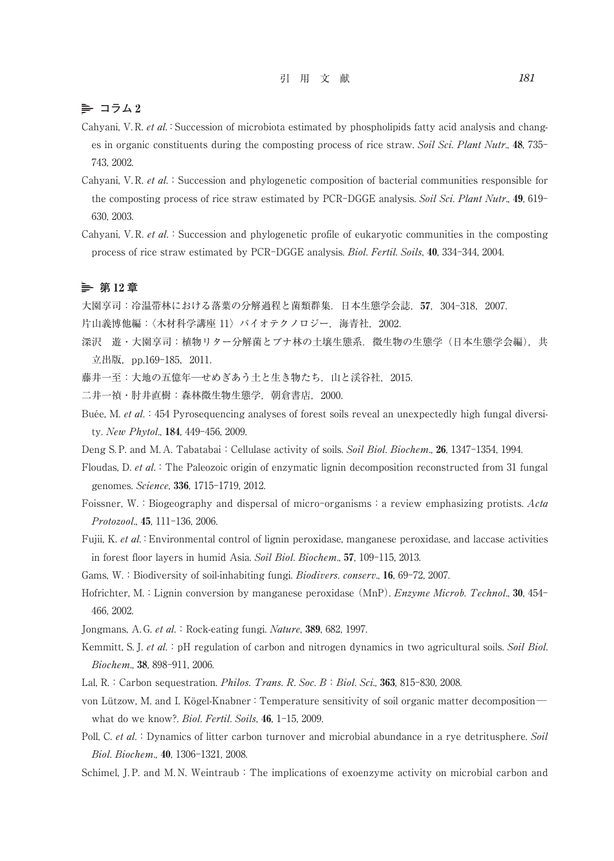## 引 用 文 献 *181*

# $\geq$  コラム2

- Cahyani, V. R. et al.: Succession of microbiota estimated by phospholipids fatty acid analysis and changes in organic constituents during the composting process of rice straw. Soil Sci. Plant Nutr., 48, 735-743, 2002.
- Cahyani, V. R. et al.: Succession and phylogenetic composition of bacterial communities responsible for the composting process of rice straw estimated by PCR-DGGE analysis. Soil Sci. Plant Nutr., 49, 619-630, 2003.
- Cahyani, V. R. et al.: Succession and phylogenetic profile of eukaryotic communities in the composting process of rice straw estimated by PCR-DGGE analysis. Biol. Fertil. Soils, 40, 334-344, 2004.

### **第** 12 **章**

大園享司:冷温帯林における落葉の分解過程と菌類群集.日本生態学会誌,57,304-318,2007.

片山義博他編:〈木材科学講座 11〉バイオテクノロジー, 海青社, 2002.

- 深沢 遊・大園享司:植物リター分解菌とブナ林の土壌生態系. 微生物の生態学(日本生態学会編), 共 立出版, pp.169-185, 2011.
- 藤井一至:大地の五億年一せめぎあう土と生き物たち、山と渓谷社, 2015.
- 二井一禎・肘井直樹:森林微生物生態学,朝倉書店,2000.
- Buée, M. *et al.*:454 Pyrosequencing analyses of forest soils reveal an unexpectedly high fungal diversity. New Phytol., 184, 449-456, 2009.
- Deng S. P. and M. A. Tabatabai: Cellulase activity of soils. Soil Biol. Biochem., 26, 1347-1354, 1994.
- Floudas, D. et al.: The Paleozoic origin of enzymatic lignin decomposition reconstructed from 31 fungal genomes. Science, 336, 1715-1719, 2012.
- Foissner, W.: Biogeography and dispersal of micro-organisms: a review emphasizing protists. Acta Protozool., 45, 111-136, 2006.
- Fujii, K. et al.:Environmental control of lignin peroxidase, manganese peroxidase, and laccase activities in forest floor layers in humid Asia. Soil Biol. Biochem., 57, 109-115, 2013.
- Gams, W.: Biodiversity of soil-inhabiting fungi. Biodivers. conserv., 16, 69-72, 2007.
- Hofrichter, M.: Lignin conversion by manganese peroxidase (MnP). *Enzyme Microb. Technol.*, 30, 454-466, 2002.
- Jongmans, A. G. et al. : Rock-eating fungi. Nature, 389, 682, 1997.
- Kemmitt, S. J. et al.: pH regulation of carbon and nitrogen dynamics in two agricultural soils. Soil Biol. Biochem., 38, 898-911, 2006.
- Lal, R.: Carbon sequestration. *Philos. Trans. R. Soc. B: Biol. Sci.*, 363, 815-830, 2008.
- von Lützow, M. and I. Kögel-Knabner: Temperature sensitivity of soil organic matter decomposition what do we know?. Biol. Fertil. Soils, 46, 1-15, 2009.
- Poll, C. et al.: Dynamics of litter carbon turnover and microbial abundance in a rye detritusphere. Soil Biol. Biochem., 40, 1306-1321, 2008.
- Schimel, J. P. and M. N. Weintraub: The implications of exoenzyme activity on microbial carbon and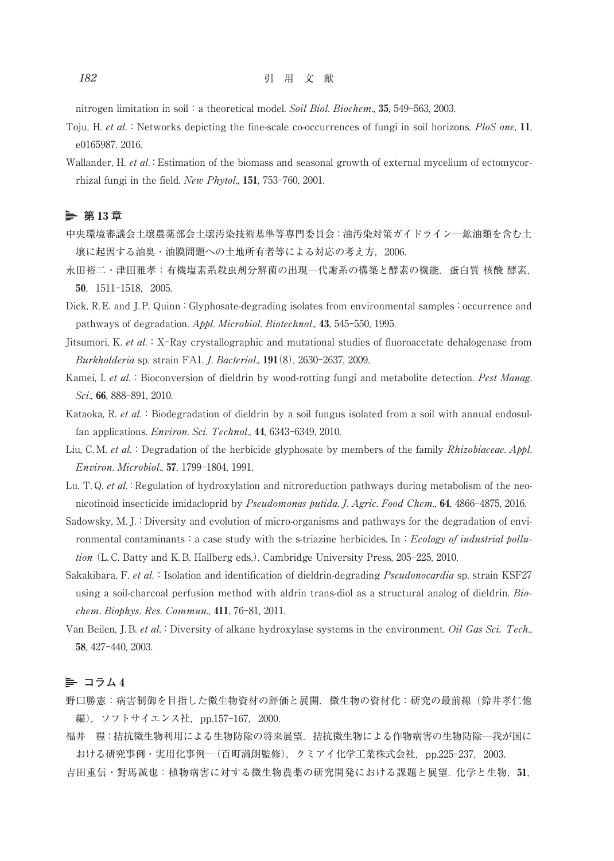nitrogen limitation in soil: a theoretical model. Soil Biol. Biochem., 35, 549-563, 2003.

Toju, H. et al.: Networks depicting the fine-scale co-occurrences of fungi in soil horizons. PloS one, 11, e0165987. 2016.

Wallander, H. et al.: Estimation of the biomass and seasonal growth of external mycelium of ectomycorrhizal fungi in the field. New Phytol., 151, 753-760, 2001.

### **第** 13 **章**

- 中央環境審議会土壌農薬部会土壌汚染技術基準等専門委員会:油汚染対策ガイドライン─鉱油類を含む土 壌に起因する油臭・油膜問題への土地所有者等による対応の考え方,2006.
- 永田裕二・津田雅孝: 有機塩素系殺虫剤分解菌の出現––代謝系の構築と酵素の機能. 蛋白質 核酸 酵素, 50,1511-1518,2005.
- Dick, R. E. and J. P. Quinn: Glyphosate-degrading isolates from environmental samples: occurrence and pathways of degradation. Appl. Microbiol. Biotechnol., 43, 545-550, 1995.
- Jitsumori, K. et al.: X-Ray crystallographic and mutational studies of fluoroacetate dehalogenase from Burkholderia sp. strain FA1. J. Bacteriol., 191(8), 2630-2637, 2009.
- Kamei, I. et al.: Bioconversion of dieldrin by wood-rotting fungi and metabolite detection. Pest Manag. Sci., 66, 888-891, 2010.
- Kataoka, R. et al.: Biodegradation of dieldrin by a soil fungus isolated from a soil with annual endosulfan applications. Environ. Sci. Technol., 44, 6343-6349, 2010.
- Liu, C. M. et al.: Degradation of the herbicide glyphosate by members of the family *Rhizobiaceae. Appl.* Environ. Microbiol., 57, 1799-1804, 1991.
- Lu, T.Q. et al.: Regulation of hydroxylation and nitroreduction pathways during metabolism of the neonicotinoid insecticide imidacloprid by Pseudomonas putida. J. Agric. Food Chem., 64, 4866-4875, 2016.
- Sadowsky, M. J.: Diversity and evolution of micro-organisms and pathways for the degradation of environmental contaminants: a case study with the s-triazine herbicides. In: Ecology of industrial pollution (L. C. Batty and K. B. Hallberg eds.). Cambridge University Press, 205-225, 2010.
- Sakakibara, F. et al.: Isolation and identification of dieldrin-degrading *Pseudonocardia* sp. strain KSF27 using a soil-charcoal perfusion method with aldrin trans-diol as a structural analog of dieldrin. Biochem. Biophys. Res. Commun., 411, 76-81, 2011.
- Van Beilen, J. B. et al.: Diversity of alkane hydroxylase systems in the environment. Oil Gas Sci. Tech., 58, 427-440, 2003.

### **コラム** 4

- 野口勝憲:病害制御を目指した微生物資材の評価と展開.微生物の資材化:研究の最前線(鈴井孝仁他 編), ソフトサイエンス社, pp.157-167, 2000.
- 福井 糧:拮抗微生物利用による生物防除の将来展望. 拮抗微生物による作物病害の生物防除一我が国に おける研究事例・実用化事例─(百町満朗監修),クミアイ化学工業株式会社,pp.225-237,2003.
- 吉田重信・對馬誠也:植物病害に対する微生物農薬の研究開発における課題と展望.化学と生物,51,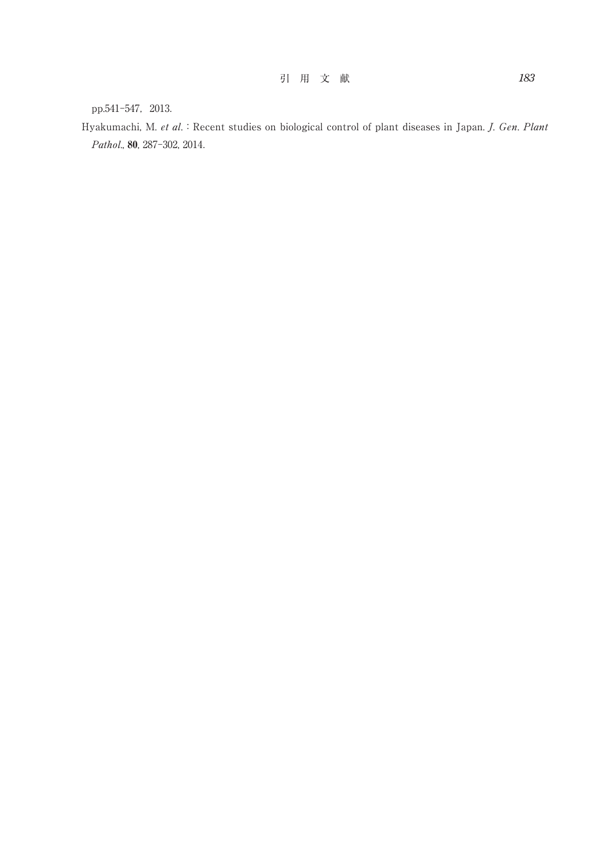pp.541-547, 2013.

Hyakumachi, M. et al. : Recent studies on biological control of plant diseases in Japan. J. Gen. Plant Pathol., 80, 287-302, 2014.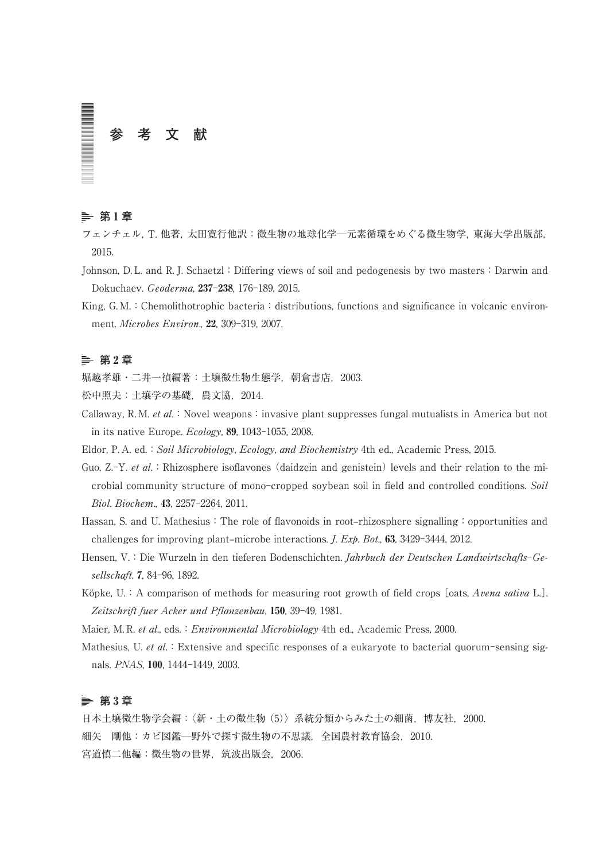# **参 考 文 献**

# **第** 1 **章**

フェンチェル,T. 他著,太田寛行他訳:微生物の地球化学─元素循環をめぐる微生物学,東海大学出版部, 2015.

- Johnson, D. L. and R. J. Schaetzl:Differing views of soil and pedogenesis by two masters:Darwin and Dokuchaev. Geoderma, 237-238, 176-189, 2015.
- King, G. M.: Chemolithotrophic bacteria: distributions, functions and significance in volcanic environment. Microbes Environ., 22, 309-319, 2007.

# **第** 2 **章**

堀越孝雄・二井一禎編著:土壌微生物生態学,朝倉書店,2003.

松中照夫:土壌学の基礎,農文協,2014.

Callaway, R. M. et al. : Novel weapons: invasive plant suppresses fungal mutualists in America but not in its native Europe. Ecology, 89, 1043-1055, 2008.

Eldor, P. A. ed.: Soil Microbiology, Ecology, and Biochemistry 4th ed., Academic Press, 2015.

Guo,  $Z-Y$ , et al.: Rhizosphere isoflavones (daidzein and genistein) levels and their relation to the microbial community structure of mono-cropped soybean soil in field and controlled conditions. Soil Biol. Biochem., 43, 2257-2264, 2011.

Hassan, S. and U. Mathesius: The role of flavonoids in root–rhizosphere signalling: opportunities and challenges for improving plant–microbe interactions. J. Exp. Bot., 63, 3429-3444, 2012.

- Hensen, V.: Die Wurzeln in den tieferen Bodenschichten. Jahrbuch der Deutschen Landwirtschafts-Gesellschaft. 7, 84-96, 1892.
- Köpke, U.: A comparison of methods for measuring root growth of field crops [oats, Avena sativa L.]. Zeitschrift fuer Acker und Pflanzenbau, 150, 39-49, 1981.

Maier, M. R. et al., eds.: Environmental Microbiology 4th ed., Academic Press, 2000.

Mathesius, U. et al.: Extensive and specific responses of a eukaryote to bacterial quorum-sensing signals. PNAS, 100, 1444-1449, 2003.

# **第** 3 **章**

日本土壌微生物学会編:〈新・土の微生物 (5)〉系統分類からみた土の細菌,博友社,2000. 細矢 剛他:カビ図鑑─野外で探す微生物の不思議,全国農村教育協会,2010. 宮道慎二他編:微生物の世界,筑波出版会,2006.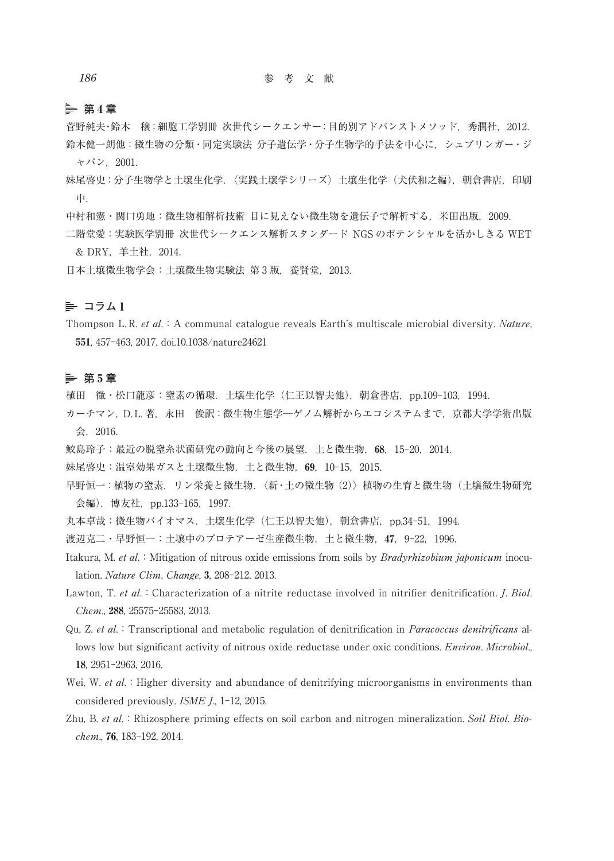### **第** 4 **章**

菅野純夫・鈴木 穣:細胞工学別冊 次世代シークエンサー:目的別アドバンストメソッド,秀潤社,2012. 鈴木健一朗他:微生物の分類・同定実験法 分子遺伝学・分子生物学的手法を中心に,シュプリンガー・ジ ャパン,2001.

- 妹尾啓史:分子生物学と土壌生化学.〈実践土壌学シリーズ〉土壌生化学(犬伏和之編),朝倉書店,印刷 中.
- 中村和憲・関口勇地:微生物相解析技術 目に見えない微生物を遺伝子で解析する,米田出版,2009.
- 二階堂愛:実験医学別冊 次世代シークエンス解析スタンダード NGS のポテンシャルを活かしきる WET & DRY,羊土社,2014.

日本土壌微生物学会:土壌微生物実験法 第 3 版,養賢堂,2013.

# $=$  コラム1

Thompson L. R. et al. A communal catalogue reveals Earth's multiscale microbial diversity. Nature, 551, 457-463, 2017. doi.10.1038/nature24621

### **第** 5 **章**

植田 徹・松口龍彦:窒素の循環.土壌生化学(仁王以智夫他),朝倉書店,pp.109-103,1994.

- カーチマン,D. L. 著,永田 俊訳:微生物生態学─ゲノム解析からエコシステムまで,京都大学学術出版 会,2016.
- 鮫島玲子:最近の脱窒糸状菌研究の動向と今後の展望.土と微生物,68,15-20,2014.

妹尾啓史:温室効果ガスと土壌微生物.土と微生物,69,10-15,2015.

早野恒一:植物の窒素,リン栄養と微生物.〈新・土の微生物 (2)〉植物の生育と微生物(土壌微生物研究 会編),博友社,pp.133-165,1997.

丸本卓哉:微生物バイオマス. 土壌生化学 (仁王以智夫他), 朝倉書店, pp.34-51, 1994.

渡辺克二・早野恒一:土壌中のプロテアーゼ生産微生物.土と微生物,47,9-22,1996.

- Itakura, M. et al.: Mitigation of nitrous oxide emissions from soils by *Bradyrhizobium japonicum* inoculation. Nature Clim. Change, 3, 208-212, 2013.
- Lawton, T. et al.: Characterization of a nitrite reductase involved in nitrifier denitrification. *J. Biol.* Chem., 288, 25575-25583, 2013.
- Qu, Z. et al.:Transcriptional and metabolic regulation of denitrification in Paracoccus denitrificans allows low but significant activity of nitrous oxide reductase under oxic conditions. *Environ. Microbiol.*, 18, 2951-2963, 2016.
- Wei, W. et al.: Higher diversity and abundance of denitrifying microorganisms in environments than considered previously. ISME J., 1-12, 2015.
- Zhu, B. et al.: Rhizosphere priming effects on soil carbon and nitrogen mineralization. Soil Biol. Biochem., 76, 183-192, 2014.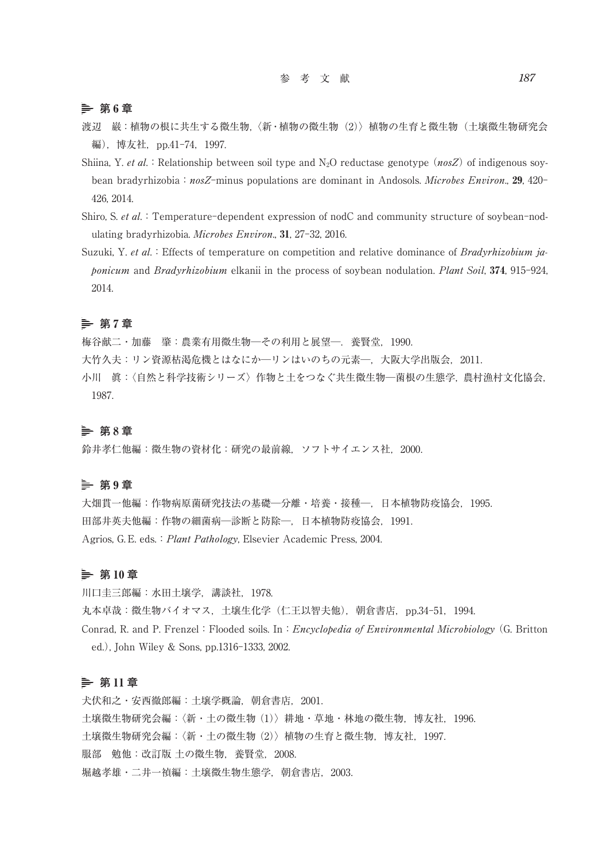**第** 6 **章**

- 渡辺 巌:植物の根に共生する微生物,〈新・植物の微生物(2)〉植物の生育と微生物(土壌微生物研究会 編),博友社,pp.41-74,1997.
- Shiina, Y. et al.: Relationship between soil type and N<sub>2</sub>O reductase genotype (nosZ) of indigenous soybean bradyrhizobia:  $nosZ$ -minus populations are dominant in Andosols. *Microbes Environ.*, 29, 420-426, 2014.
- Shiro, S. et al.: Temperature-dependent expression of nodC and community structure of soybean-nodulating bradyrhizobia. Microbes Environ., 31, 27-32, 2016.
- Suzuki, Y. et al.: Effects of temperature on competition and relative dominance of Bradyrhizobium japonicum and Bradyrhizobium elkanii in the process of soybean nodulation. Plant Soil, 374, 915-924, 2014.

### **第** 7 **章**

梅谷献二・加藤 肇:農業有用微生物─その利用と展望─.養賢堂,1990.

- 大竹久夫:リン資源枯渇危機とはなにか─リンはいのちの元素─,大阪大学出版会,2011.
- 小川 眞:〈自然と科学技術シリーズ〉作物と土をつなぐ共生微生物─菌根の生態学,農村漁村文化協会, 1987.

### **第** 8 **章**

鈴井孝仁他編:微生物の資材化:研究の最前線,ソフトサイエンス社,2000.

### **第** 9 **章**

大畑貫一他編:作物病原菌研究技法の基礎─分離・培養・接種─,日本植物防疫協会,1995. 田部井英夫他編:作物の細菌病─診断と防除─,日本植物防疫協会,1991. Agrios, G. E. eds.: *Plant Pathology*, Elsevier Academic Press, 2004.

### **第** 10 **章**

川口圭三郎編:水田土壌学,講談社,1978. 丸本卓哉:微生物バイオマス,土壌生化学(仁王以智夫他),朝倉書店,pp.34-51,1994. Conrad, R. and P. Frenzel: Flooded soils. In: Encyclopedia of Environmental Microbiology (G. Britton ed.), John Wiley & Sons, pp.1316-1333, 2002.

### **第** 11 **章**

犬伏和之・安西徹郎編:土壌学概論,朝倉書店,2001. 土壌微生物研究会編:〈新・土の微生物 (1)〉耕地・草地・林地の微生物,博友社,1996. 土壌微生物研究会編:〈新・土の微生物 (2)〉植物の生育と微生物,博友社,1997. 服部 勉他:改訂版 土の微生物,養賢堂,2008. 堀越孝雄・二井一禎編:土壌微生物生態学,朝倉書店,2003.